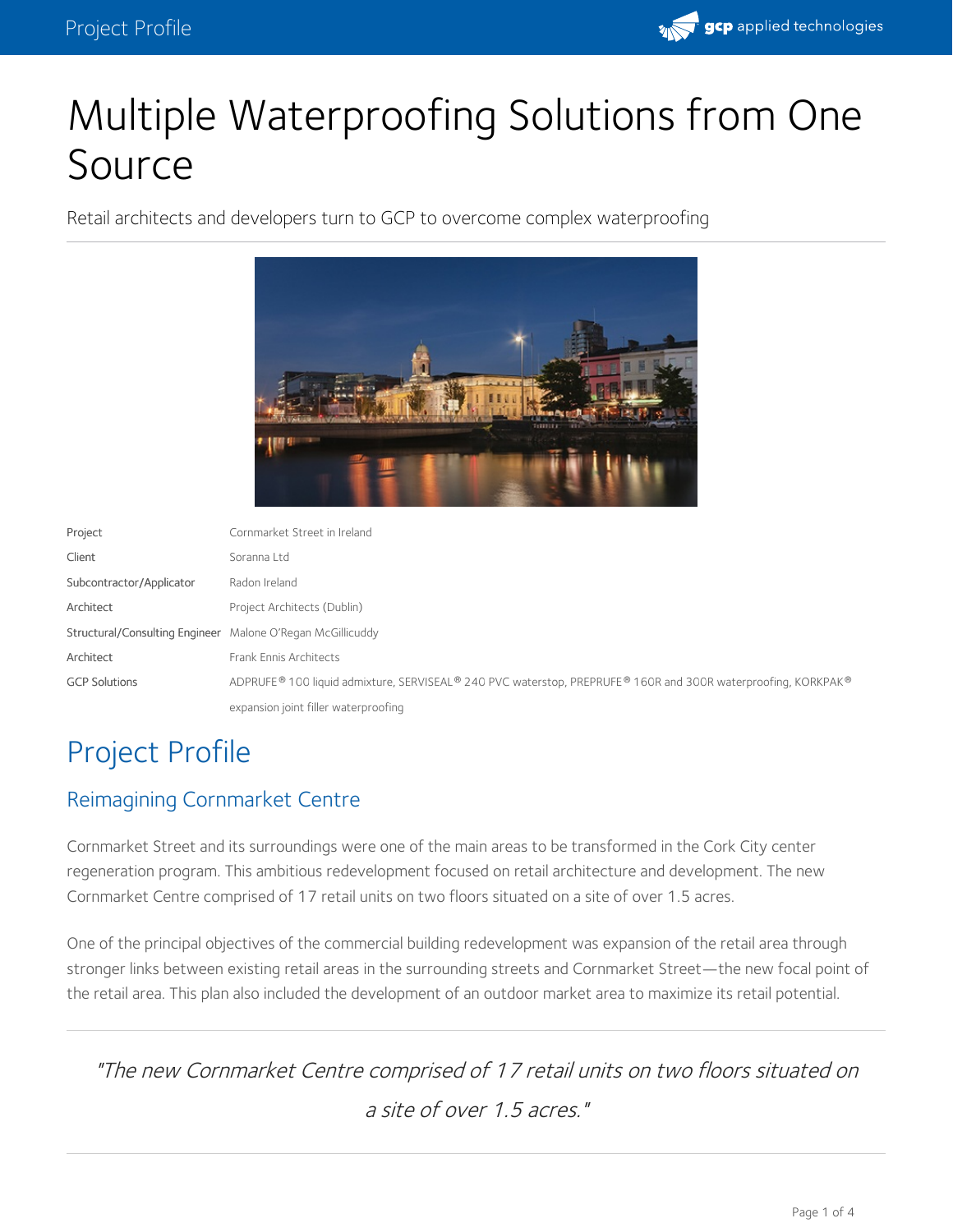

# Multiple Waterproofing Solutions from One Source

Retail architects and developers turn to GCP to overcome complex waterproofing



| Project                                                    | Cornmarket Street in Ireland                                                                                 |
|------------------------------------------------------------|--------------------------------------------------------------------------------------------------------------|
| Client                                                     | Soranna Ltd                                                                                                  |
| Subcontractor/Applicator                                   | Radon Ireland                                                                                                |
| Architect                                                  | Project Architects (Dublin)                                                                                  |
| Structural/Consulting Engineer Malone O'Regan McGillicuddy |                                                                                                              |
| Architect                                                  | Frank Ennis Architects                                                                                       |
| <b>GCP Solutions</b>                                       | ADPRUFE® 100 liquid admixture, SERVISEAL® 240 PVC waterstop, PREPRUFE® 160R and 300R waterproofing, KORKPAK® |
|                                                            | expansion joint filler waterproofing                                                                         |

## Project Profile

#### Reimagining Cornmarket Centre

Cornmarket Street and its surroundings were one of the main areas to be transformed in the Cork City center regeneration program. This ambitious redevelopment focused on retail architecture and development. The new Cornmarket Centre comprised of 17 retail units on two floors situated on a site of over 1.5 acres.

One of the principal objectives of the commercial building redevelopment was expansion of the retail area through stronger links between existing retail areas in the surrounding streets and Cornmarket Street—the new focal point of the retail area. This plan also included the development of an outdoor market area to maximize its retail potential.

"The new Cornmarket Centre comprised of 17 retail units on two floors situated on <sup>a</sup> site of over 1.5 acres."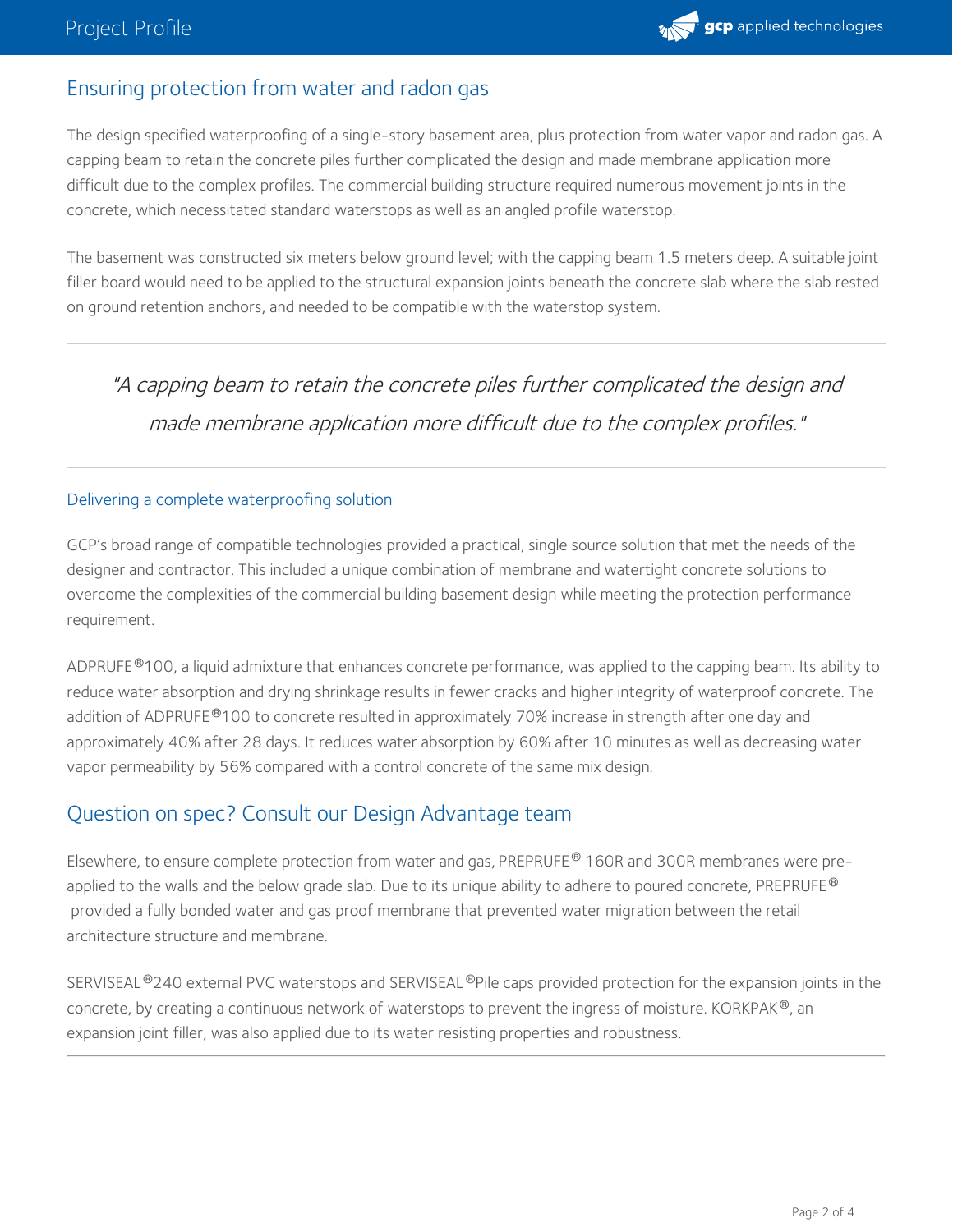### Ensuring protection from water and radon gas

The design specified waterproofing of a single-story basement area, plus protection from water vapor and radon gas. A capping beam to retain the concrete piles further complicated the design and made membrane application more difficult due to the complex profiles. The commercial building structure required numerous movement joints in the concrete, which necessitated standard waterstops as well as an angled profile waterstop.

The basement was constructed six meters below ground level; with the capping beam 1.5 meters deep. A suitable joint filler board would need to be applied to the structural expansion joints beneath the concrete slab where the slab rested on ground retention anchors, and needed to be compatible with the waterstop system.

"A capping beam to retain the concrete piles further complicated the design and made membrane application more difficult due to the complex profiles."

#### Delivering a complete waterproofing solution

GCP's broad range of compatible technologies provided a practical, single source solution that met the needs of the designer and contractor. This included a unique combination of membrane and watertight concrete solutions to overcome the complexities of the commercial building basement design while meeting the protection performance requirement.

[ADPRUFE](https://gcpat.com/en/solutions/products/adprufe-100)®100, a liquid admixture that enhances concrete performance, was applied to the capping beam. Its ability to reduce water absorption and drying shrinkage results in fewer cracks and higher integrity of waterproof concrete. The addition of [ADPRUFE](https://gcpat.com/en/solutions/products/adprufe-100)®100 to concrete resulted in approximately 70% increase in strength after one day and approximately 40% after 28 days. It reduces water absorption by 60% after 10 minutes as well as decreasing water vapor permeability by 56% compared with a control concrete of the same mix design.

### Question on spec? Consult our Design [Advantage](https://gcpat.com/advantages/architect-advantage-building-your-legacy?utm_campaign=GCP0170&utm_source=projectProfile&utm_medium=organic&utm_content=bodyCopy) team

Elsewhere, to ensure complete protection from water and gas, [PREPRUFE](https://gcpat.com/en/solutions/products/preprufe-pre-applied-waterproofing-solutions)® 160R and 300R membranes were pre-applied to the walls and the below grade slab. Due to its unique ability to adhere to poured concrete, <code>[PREPRUFE](https://gcpat.com/en/solutions/products/preprufe-pre-applied-waterproofing-solutions)®</code> provided a fully bonded water and gas proof membrane that prevented water migration between the retail architecture structure and membrane.

SERVISEAL®240 external PVC waterstops and SERVISEAL®Pile caps provided protection for the expansion joints in the concrete, by creating a continuous network of waterstops to prevent the ingress of moisture. KORKPAK  $^\circledast$ , an expansion joint filler, was also applied due to its water resisting properties and robustness.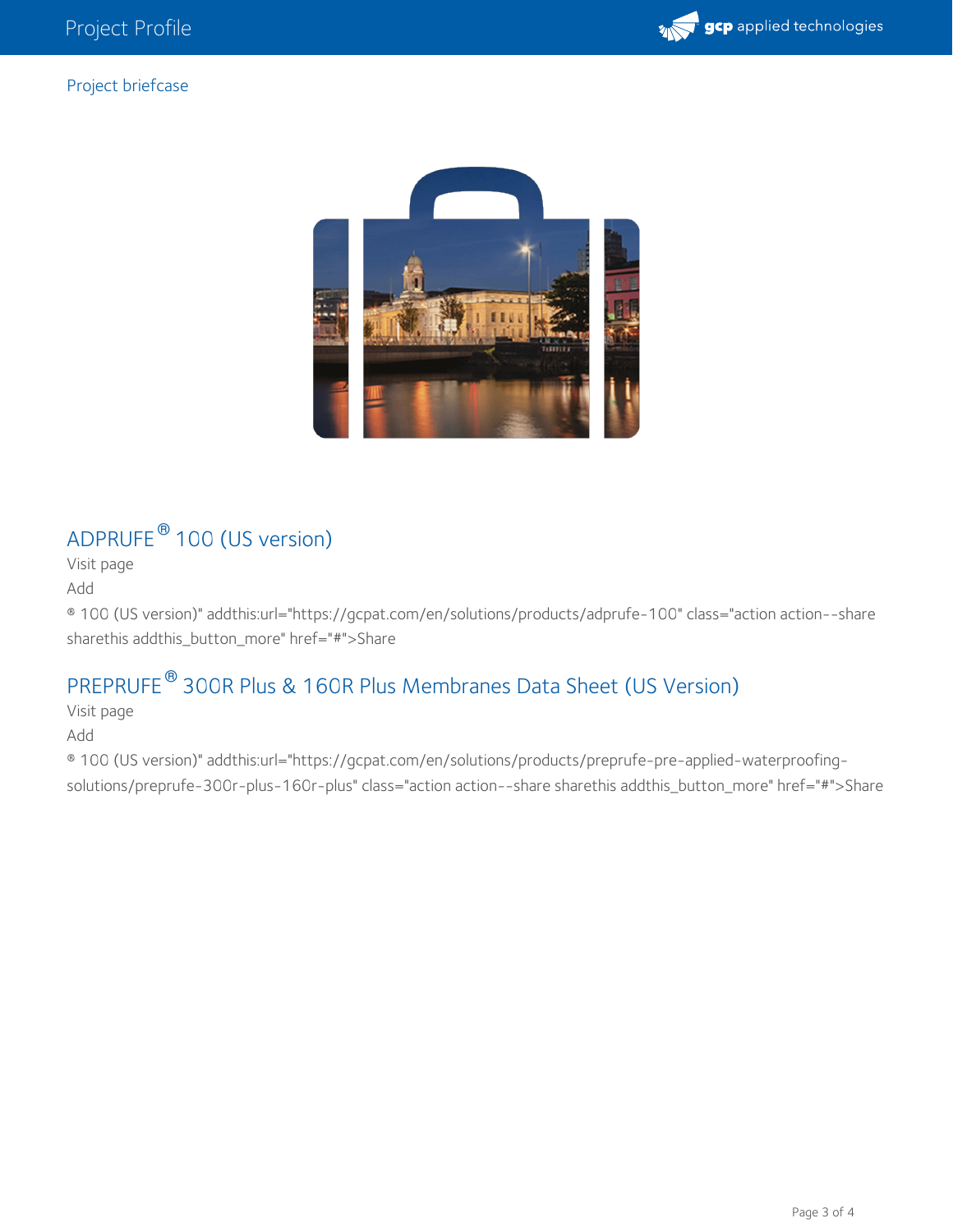

#### Project briefcase



## $\mathsf{ADPRUFE}^\circledR$  $\mathsf{ADPRUFE}^\circledR$  $\mathsf{ADPRUFE}^\circledR$  100 (US version)

Visit [page](https://gcpat.com/en/solutions/products/adprufe-100)

[Add](https://gcpat.com/en/ajax/briefcase/addentityfolder/10451)

® 100 (US version)" addthis:url="https://gcpat.com/en/solutions/products/adprufe-100" class="action action--share sharethis addthis\_button\_more" href="#">Share

#### PREPRUFE<sup>®</sup> 300R Plus & 160R Plus [Membranes](https://gcpat.com/en/solutions/products/preprufe-pre-applied-waterproofing-solutions/preprufe-300r-plus-160r-plus) Data Sheet (US Version)

Visit [page](https://gcpat.com/en/solutions/products/preprufe-pre-applied-waterproofing-solutions/preprufe-300r-plus-160r-plus) [Add](https://gcpat.com/en/ajax/briefcase/addentityfolder/1586)

® 100 (US version)" addthis:url="https://gcpat.com/en/solutions/products/preprufe-pre-applied-waterproofingsolutions/preprufe-300r-plus-160r-plus" class="action action--share sharethis addthis\_button\_more" href="#">Share